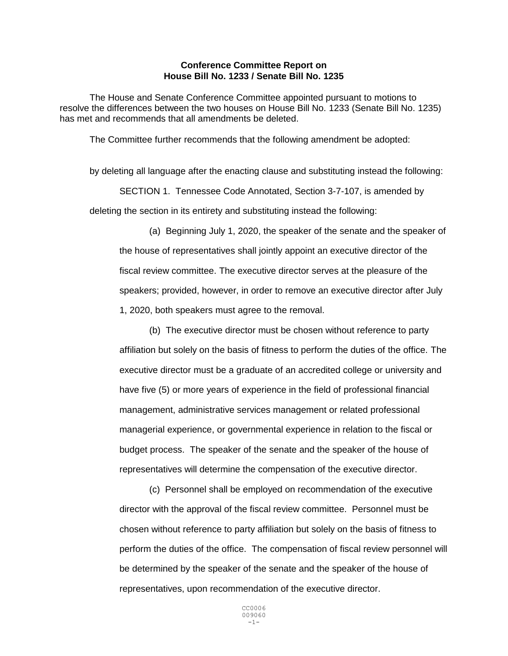## **Conference Committee Report on House Bill No. 1233 / Senate Bill No. 1235**

The House and Senate Conference Committee appointed pursuant to motions to resolve the differences between the two houses on House Bill No. 1233 (Senate Bill No. 1235) has met and recommends that all amendments be deleted.

The Committee further recommends that the following amendment be adopted:

by deleting all language after the enacting clause and substituting instead the following: SECTION 1. Tennessee Code Annotated, Section 3-7-107, is amended by deleting the section in its entirety and substituting instead the following:

(a) Beginning July 1, 2020, the speaker of the senate and the speaker of the house of representatives shall jointly appoint an executive director of the fiscal review committee. The executive director serves at the pleasure of the speakers; provided, however, in order to remove an executive director after July 1, 2020, both speakers must agree to the removal.

(b) The executive director must be chosen without reference to party affiliation but solely on the basis of fitness to perform the duties of the office. The executive director must be a graduate of an accredited college or university and have five (5) or more years of experience in the field of professional financial management, administrative services management or related professional managerial experience, or governmental experience in relation to the fiscal or budget process. The speaker of the senate and the speaker of the house of representatives will determine the compensation of the executive director.

(c) Personnel shall be employed on recommendation of the executive director with the approval of the fiscal review committee. Personnel must be chosen without reference to party affiliation but solely on the basis of fitness to perform the duties of the office. The compensation of fiscal review personnel will be determined by the speaker of the senate and the speaker of the house of representatives, upon recommendation of the executive director.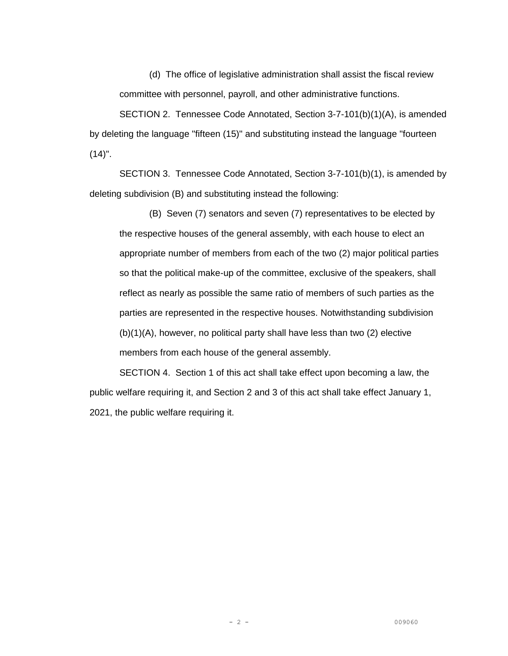(d) The office of legislative administration shall assist the fiscal review committee with personnel, payroll, and other administrative functions.

SECTION 2. Tennessee Code Annotated, Section 3-7-101(b)(1)(A), is amended by deleting the language "fifteen (15)" and substituting instead the language "fourteen  $(14)$ ".

SECTION 3. Tennessee Code Annotated, Section 3-7-101(b)(1), is amended by deleting subdivision (B) and substituting instead the following:

(B) Seven (7) senators and seven (7) representatives to be elected by the respective houses of the general assembly, with each house to elect an appropriate number of members from each of the two (2) major political parties so that the political make-up of the committee, exclusive of the speakers, shall reflect as nearly as possible the same ratio of members of such parties as the parties are represented in the respective houses. Notwithstanding subdivision (b)(1)(A), however, no political party shall have less than two (2) elective members from each house of the general assembly.

SECTION 4. Section 1 of this act shall take effect upon becoming a law, the public welfare requiring it, and Section 2 and 3 of this act shall take effect January 1, 2021, the public welfare requiring it.